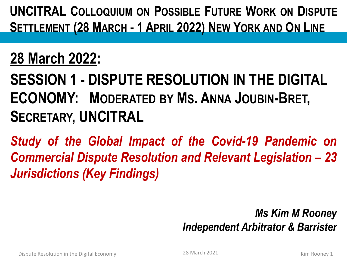**UNCITRAL COLLOQUIUM ON POSSIBLE FUTURE WORK ON DISPUTE SETTLEMENT (28 MARCH - 1 APRIL 2022) NEW YORK AND ON LINE**

### **28 March 2022:**

**SESSION 1 - DISPUTE RESOLUTION IN THE DIGITAL ECONOMY: MODERATED BY MS. ANNA JOUBIN-BRET, SECRETARY, UNCITRAL** 

*Study of the Global Impact of the Covid-19 Pandemic on Commercial Dispute Resolution and Relevant Legislation – 23 Jurisdictions (Key Findings)*

> *Ms Kim M Rooney Independent Arbitrator & Barrister*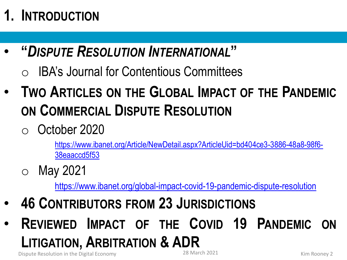# **1. INTRODUCTION**

- **"***DISPUTE RESOLUTION INTERNATIONAL***"**
	- **IBA's Journal for Contentious Committees**
- **TWO ARTICLES ON THE GLOBAL IMPACT OF THE PANDEMIC ON COMMERCIAL DISPUTE RESOLUTION**
	- o October 2020

[https://www.ibanet.org/Article/NewDetail.aspx?ArticleUid=bd404ce3-3886-48a8-98f6-](https://www.ibanet.org/Article/NewDetail.aspx?ArticleUid=bd404ce3-3886-48a8-98f6-38eaaccd5f53) 38eaaccd5f53

o May 2021

<https://www.ibanet.org/global-impact-covid-19-pandemic-dispute-resolution>

- **46 CONTRIBUTORS FROM 23 JURISDICTIONS**
- **REVIEWED IMPACT OF THE COVID 19 PANDEMIC ON LITIGATION, ARBITRATION & ADR**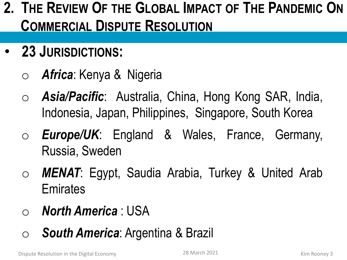### **2. THE REVIEW OF THE GLOBAL IMPACT OF THE PANDEMIC ON COMMERCIAL DISPUTE RESOLUTION**

- **23 JURISDICTIONS:**
	- o *Africa*: Kenya & Nigeria
	- o *Asia/Pacific*: Australia, China, Hong Kong SAR, India, Indonesia, Japan, Philippines, Singapore, South Korea
	- o *Europe/UK*: England & Wales, France, Germany, Russia, Sweden
	- o *MENAT*: Egypt, Saudia Arabia, Turkey & United Arab **Emirates**
	- o *North America* : USA
	- o *South America*: Argentina & Brazil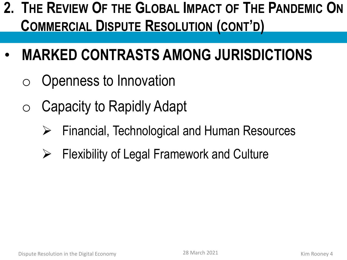### **2. THE REVIEW OF THE GLOBAL IMPACT OF THE PANDEMIC ON COMMERCIAL DISPUTE RESOLUTION (CONT'D)**

- **MARKED CONTRASTS AMONG JURISDICTIONS**
	- o Openness to Innovation
	- o Capacity to Rapidly Adapt
		- ➢ Financial, Technological and Human Resources
		- $\triangleright$  Flexibility of Legal Framework and Culture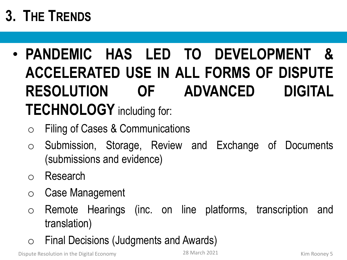# **3. THE TRENDS**

- **PANDEMIC HAS LED TO DEVELOPMENT & ACCELERATED USE IN ALL FORMS OF DISPUTE RESOLUTION OF ADVANCED DIGITAL TECHNOLOGY** including for:
	- o Filing of Cases & Communications
	- o Submission, Storage, Review and Exchange of Documents (submissions and evidence)
	- o Research
	- o Case Management
	- o Remote Hearings (inc. on line platforms, transcription and translation)
	- o Final Decisions (Judgments and Awards)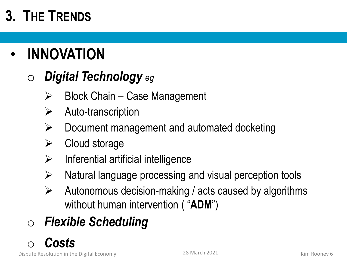# **3. THE TRENDS**

# • **INNOVATION**

#### o *Digital Technology eg*

- $\triangleright$  Block Chain Case Management
- $\triangleright$  Auto-transcription
- $\triangleright$  Document management and automated docketing
- $\triangleright$  Cloud storage
- $\triangleright$  Inferential artificial intelligence
- ➢ Natural language processing and visual perception tools
- $\triangleright$  Autonomous decision-making / acts caused by algorithms without human intervention ( "**ADM**")

# o *Flexible Scheduling*

#### o *Costs*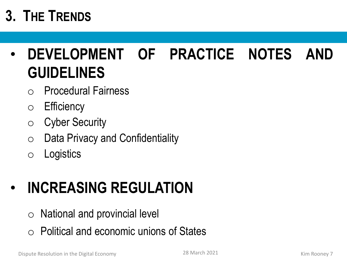# **3. THE TRENDS**

# • **DEVELOPMENT OF PRACTICE NOTES AND GUIDELINES**

- o Procedural Fairness
- o Efficiency
- o Cyber Security
- $\circ$  Data Privacy and Confidentiality
- o Logistics

# • **INCREASING REGULATION**

- $\circ$  National and provincial level
- $\circ$  Political and economic unions of States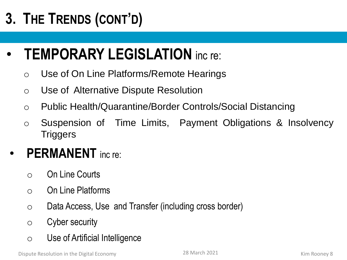# **3. THE TRENDS (CONT'D)**

### • **TEMPORARY LEGISLATION** inc re:

- o Use of On Line Platforms/Remote Hearings
- o Use of Alternative Dispute Resolution
- o Public Health/Quarantine/Border Controls/Social Distancing
- o Suspension of Time Limits, Payment Obligations & Insolvency **Triggers**

#### • **PERMANENT** inc re:

- o On Line Courts
- o On Line Platforms
- o Data Access, Use and Transfer (including cross border)
- o Cyber security
- o Use of Artificial Intelligence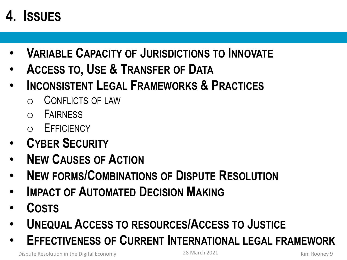# **4. ISSUES**

- **VARIABLE CAPACITY OF JURISDICTIONS TO INNOVATE**
- **ACCESS TO, USE & TRANSFER OF DATA**
- **INCONSISTENT LEGAL FRAMEWORKS & PRACTICES**
	- CONFLICTS OF LAW
	- **FAIRNESS**
	- o EFFICIENCY
- **CYBER SECURITY**
- **NEW CAUSES OF ACTION**
- **NEW FORMS/COMBINATIONS OF DISPUTE RESOLUTION**
- **IMPACT OF AUTOMATED DECISION MAKING**
- **COSTS**
- **UNEQUAL ACCESS TO RESOURCES/ACCESS TO JUSTICE**
- **EFFECTIVENESS OF CURRENT INTERNATIONAL LEGAL FRAMEWORK**